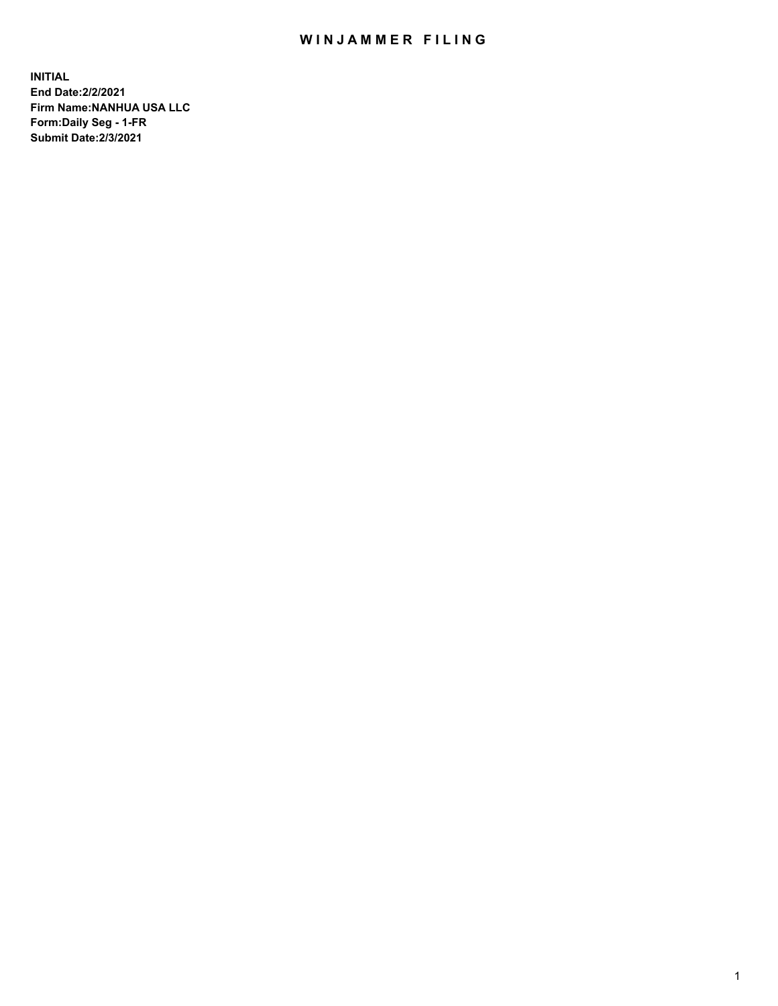# WIN JAMMER FILING

**INITIAL End Date:2/2/2021 Firm Name:NANHUA USA LLC Form:Daily Seg - 1-FR Submit Date:2/3/2021**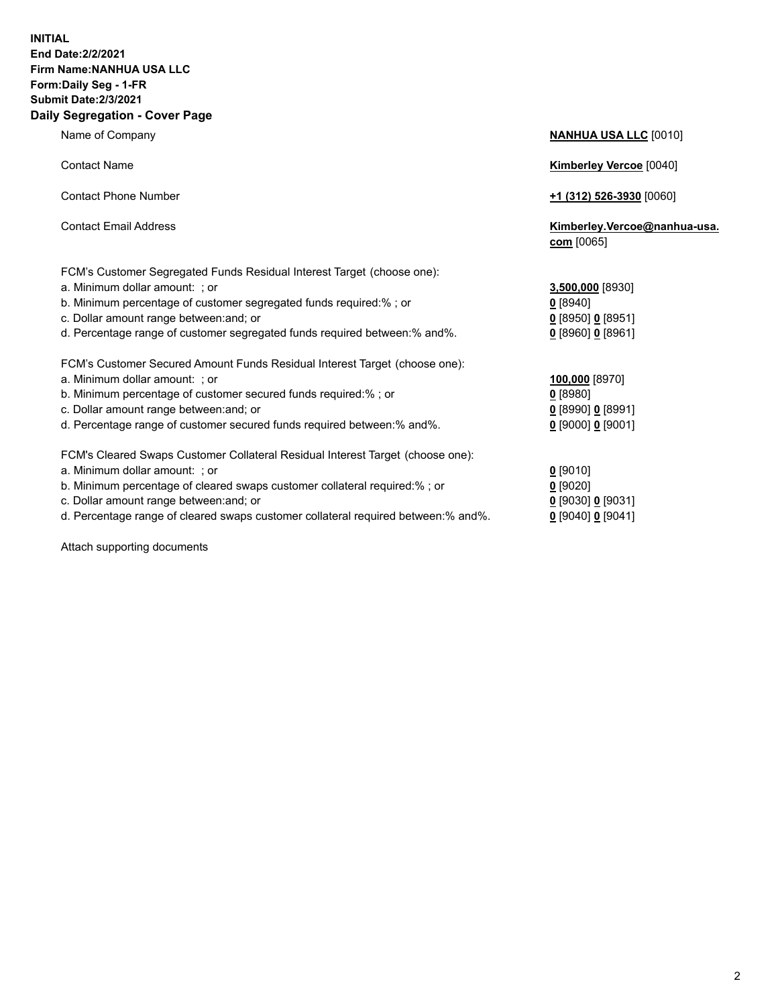### **INITIAL End Date:2/2/2021 Firm Name:NANHUA USA LLC Form:Daily Seg - 1-FR Submit Date:2/3/2021 Daily Segregation - Cover Page**

Name of Company **NANHUA USA LLC** [0010] Contact Name **Kimberley Vercoe** [0040] Contact Phone Number **+1 (312) 526-3930** [0060] Contact Email Address **Kimberley.Vercoe@nanhua-usa. com** [0065] FCM's Customer Segregated Funds Residual Interest Target (choose one): a. Minimum dollar amount: ; or **3,500,000** [8930] b. Minimum percentage of customer segregated funds required:% ; or c. Dollar amount range between: and; or d. Percentage range of customer segregated funds required between:% and%. FCM's Customer Secured Amount Funds Residual Interest Target (choose one): a. Minimum dollar amount: ; or b. Minimum percentage of customer secured funds required:% ; or c. Dollar amount range between: and; or d. Percentage range of customer secured funds required between:% and%. **0** [9000] **0** [9001] FCM's Cleared Swaps Customer Collateral Residual Interest Target (choose one): a. Minimum dollar amount: ; or **0** [9010] b. Minimum percentage of cleared swaps customer collateral required:% ; or **0** [9020] c. Dollar amount range between:and; or **0** [9030] **0** [9031] d. Percentage range of cleared swaps customer collateral required between:% and%. **0** [9040] **0** [9041]

Attach supporting documents

| <u>0</u> [8940]<br><u>0</u> [8950] <u>0</u> [8951]<br>0 [8960] 0 [8961] |  |
|-------------------------------------------------------------------------|--|
| 100,000 [8970]<br>$0$ [8980]<br><u>0</u> [8990] <u>0</u> [8991]         |  |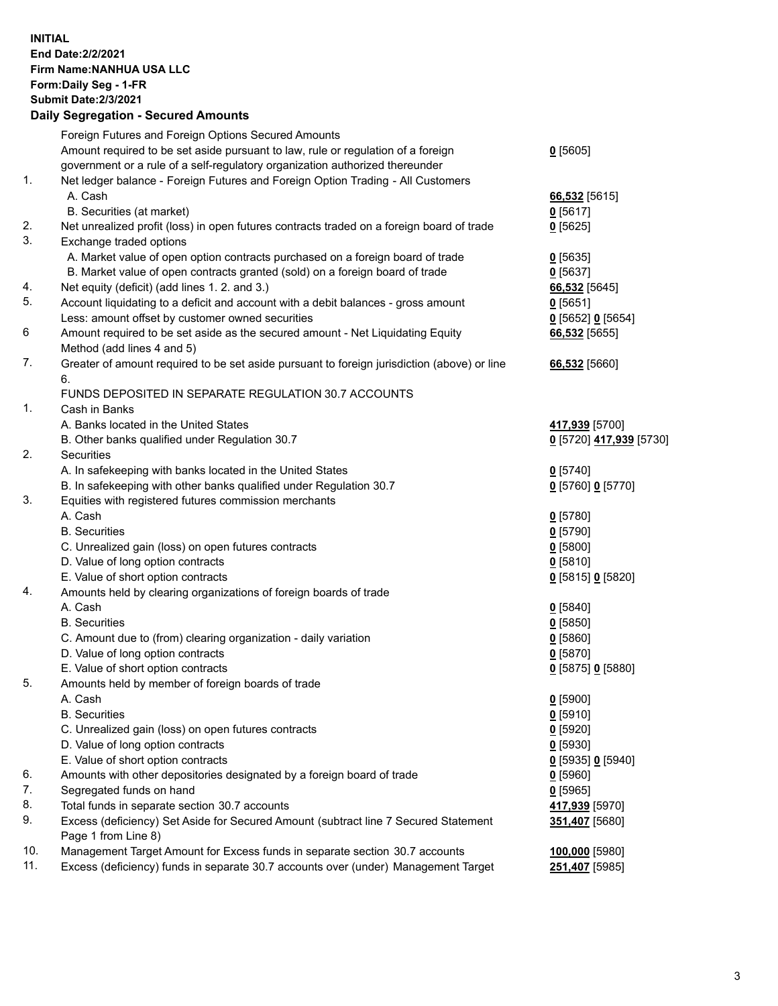### **INITIAL End Date:2/2/2021 Firm Name:NANHUA USA LLC Form:Daily Seg - 1-FR Submit Date:2/3/2021 Daily Segregation - Secured Amounts**

|     | Foreign Futures and Foreign Options Secured Amounts                                         |                          |
|-----|---------------------------------------------------------------------------------------------|--------------------------|
|     | Amount required to be set aside pursuant to law, rule or regulation of a foreign            | $0$ [5605]               |
|     | government or a rule of a self-regulatory organization authorized thereunder                |                          |
| 1.  | Net ledger balance - Foreign Futures and Foreign Option Trading - All Customers             |                          |
|     | A. Cash                                                                                     | 66,532 [5615]            |
|     | B. Securities (at market)                                                                   | $0$ [5617]               |
| 2.  | Net unrealized profit (loss) in open futures contracts traded on a foreign board of trade   | $0$ [5625]               |
| 3.  | Exchange traded options                                                                     |                          |
|     | A. Market value of open option contracts purchased on a foreign board of trade              | $0$ [5635]               |
|     | B. Market value of open contracts granted (sold) on a foreign board of trade                | $0$ [5637]               |
| 4.  | Net equity (deficit) (add lines 1.2. and 3.)                                                | 66,532 [5645]            |
| 5.  | Account liquidating to a deficit and account with a debit balances - gross amount           | $0$ [5651]               |
|     | Less: amount offset by customer owned securities                                            | 0 [5652] 0 [5654]        |
| 6   | Amount required to be set aside as the secured amount - Net Liquidating Equity              | 66,532 [5655]            |
|     | Method (add lines 4 and 5)                                                                  |                          |
| 7.  | Greater of amount required to be set aside pursuant to foreign jurisdiction (above) or line | 66,532 [5660]            |
|     | 6.                                                                                          |                          |
|     | FUNDS DEPOSITED IN SEPARATE REGULATION 30.7 ACCOUNTS                                        |                          |
| 1.  | Cash in Banks                                                                               |                          |
|     | A. Banks located in the United States                                                       | 417,939 [5700]           |
|     | B. Other banks qualified under Regulation 30.7                                              | 0 [5720] 417,939 [5730]  |
| 2.  | Securities                                                                                  |                          |
|     | A. In safekeeping with banks located in the United States                                   | $0$ [5740]               |
|     | B. In safekeeping with other banks qualified under Regulation 30.7                          | 0 [5760] 0 [5770]        |
| 3.  | Equities with registered futures commission merchants                                       |                          |
|     | A. Cash                                                                                     | $0$ [5780]               |
|     | <b>B.</b> Securities                                                                        | $0$ [5790]               |
|     | C. Unrealized gain (loss) on open futures contracts                                         | $0$ [5800]               |
|     | D. Value of long option contracts                                                           | $0$ [5810]               |
| 4.  | E. Value of short option contracts                                                          | 0 [5815] 0 [5820]        |
|     | Amounts held by clearing organizations of foreign boards of trade<br>A. Cash                |                          |
|     | <b>B.</b> Securities                                                                        | $0$ [5840]<br>$0$ [5850] |
|     | C. Amount due to (from) clearing organization - daily variation                             |                          |
|     | D. Value of long option contracts                                                           | $0$ [5860]<br>$0$ [5870] |
|     | E. Value of short option contracts                                                          | 0 [5875] 0 [5880]        |
| 5.  | Amounts held by member of foreign boards of trade                                           |                          |
|     | A. Cash                                                                                     | $0$ [5900]               |
|     | <b>B.</b> Securities                                                                        | $0$ [5910]               |
|     | C. Unrealized gain (loss) on open futures contracts                                         | $0$ [5920]               |
|     | D. Value of long option contracts                                                           | $0$ [5930]               |
|     | E. Value of short option contracts                                                          | 0 [5935] 0 [5940]        |
| 6.  | Amounts with other depositories designated by a foreign board of trade                      | $0$ [5960]               |
| 7.  | Segregated funds on hand                                                                    | $0$ [5965]               |
| 8.  | Total funds in separate section 30.7 accounts                                               | 417,939 [5970]           |
| 9.  | Excess (deficiency) Set Aside for Secured Amount (subtract line 7 Secured Statement         | 351,407 [5680]           |
|     | Page 1 from Line 8)                                                                         |                          |
| 10. | Management Target Amount for Excess funds in separate section 30.7 accounts                 | 100,000 [5980]           |
| 11. | Excess (deficiency) funds in separate 30.7 accounts over (under) Management Target          | 251,407 [5985]           |
|     |                                                                                             |                          |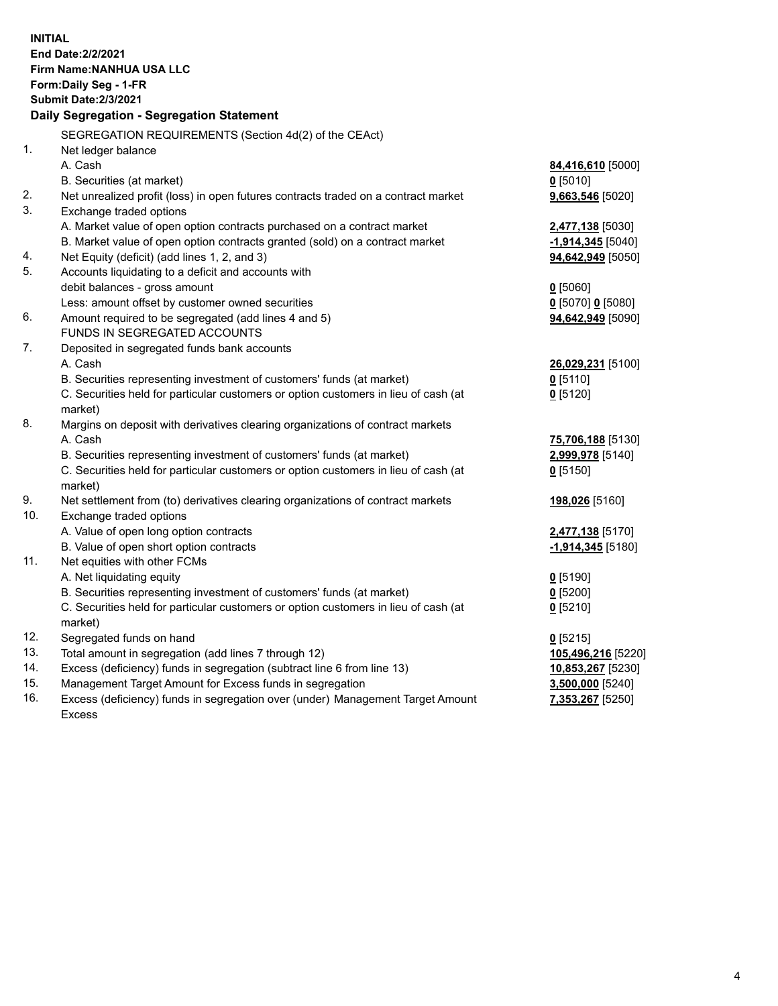| <b>INITIAL</b> | End Date: 2/2/2021                                                                  |                     |  |  |  |
|----------------|-------------------------------------------------------------------------------------|---------------------|--|--|--|
|                | Firm Name: NANHUA USA LLC                                                           |                     |  |  |  |
|                | Form: Daily Seg - 1-FR                                                              |                     |  |  |  |
|                | <b>Submit Date: 2/3/2021</b>                                                        |                     |  |  |  |
|                | Daily Segregation - Segregation Statement                                           |                     |  |  |  |
|                | SEGREGATION REQUIREMENTS (Section 4d(2) of the CEAct)                               |                     |  |  |  |
| 1.             | Net ledger balance                                                                  |                     |  |  |  |
|                | A. Cash                                                                             | 84,416,610 [5000]   |  |  |  |
|                | B. Securities (at market)                                                           | $0$ [5010]          |  |  |  |
| 2.             | Net unrealized profit (loss) in open futures contracts traded on a contract market  | 9,663,546 [5020]    |  |  |  |
| 3.             | Exchange traded options                                                             |                     |  |  |  |
|                | A. Market value of open option contracts purchased on a contract market             | 2,477,138 [5030]    |  |  |  |
|                | B. Market value of open option contracts granted (sold) on a contract market        | $-1,914,345$ [5040] |  |  |  |
| 4.             | Net Equity (deficit) (add lines 1, 2, and 3)                                        | 94,642,949 [5050]   |  |  |  |
| 5.             | Accounts liquidating to a deficit and accounts with                                 |                     |  |  |  |
|                | debit balances - gross amount                                                       | $0$ [5060]          |  |  |  |
|                | Less: amount offset by customer owned securities                                    | 0 [5070] 0 [5080]   |  |  |  |
| 6.             | Amount required to be segregated (add lines 4 and 5)                                | 94,642,949 [5090]   |  |  |  |
|                | FUNDS IN SEGREGATED ACCOUNTS                                                        |                     |  |  |  |
| 7.             | Deposited in segregated funds bank accounts                                         |                     |  |  |  |
|                | A. Cash                                                                             | 26,029,231 [5100]   |  |  |  |
|                | B. Securities representing investment of customers' funds (at market)               | $0$ [5110]          |  |  |  |
|                | C. Securities held for particular customers or option customers in lieu of cash (at | $0$ [5120]          |  |  |  |
|                | market)                                                                             |                     |  |  |  |
| 8.             | Margins on deposit with derivatives clearing organizations of contract markets      |                     |  |  |  |
|                | A. Cash                                                                             | 75,706,188 [5130]   |  |  |  |
|                | B. Securities representing investment of customers' funds (at market)               | 2,999,978 [5140]    |  |  |  |
|                | C. Securities held for particular customers or option customers in lieu of cash (at | $0$ [5150]          |  |  |  |
|                | market)                                                                             |                     |  |  |  |
| 9.             | Net settlement from (to) derivatives clearing organizations of contract markets     | 198,026 [5160]      |  |  |  |
| 10.            | Exchange traded options                                                             |                     |  |  |  |
|                | A. Value of open long option contracts                                              | 2,477,138 [5170]    |  |  |  |
|                | B. Value of open short option contracts                                             | $-1,914,345$ [5180] |  |  |  |
| 11.            | Net equities with other FCMs                                                        |                     |  |  |  |
|                | A. Net liquidating equity                                                           | $0$ [5190]          |  |  |  |
|                | B. Securities representing investment of customers' funds (at market)               | $0$ [5200]          |  |  |  |
|                | C. Securities held for particular customers or option customers in lieu of cash (at | $0$ [5210]          |  |  |  |
|                | market)                                                                             |                     |  |  |  |
| 12.            | Segregated funds on hand                                                            | $0$ [5215]          |  |  |  |
| 13.            | Total amount in segregation (add lines 7 through 12)                                | 105,496,216 [5220]  |  |  |  |
| 14.            | Excess (deficiency) funds in segregation (subtract line 6 from line 13)             | 10,853,267 [5230]   |  |  |  |
| 15.            | Management Target Amount for Excess funds in segregation                            | 3,500,000 [5240]    |  |  |  |
| 16.            | Excess (deficiency) funds in segregation over (under) Management Target Amount      | 7,353,267 [5250]    |  |  |  |
|                | <b>Excess</b>                                                                       |                     |  |  |  |